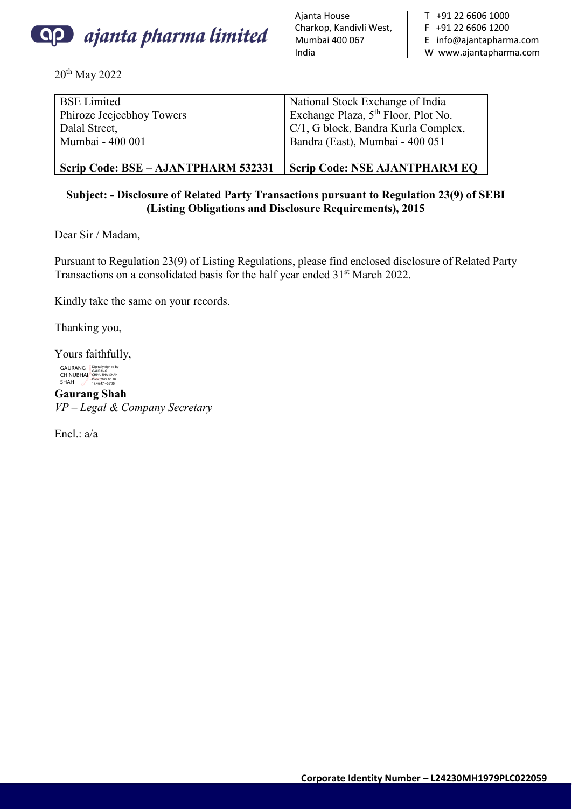

20th May 2022

Ajanta House Charkop, Kandivli West, Mumbai 400 067 India

T +91 22 6606 1000 F +91 22 6606 1200 E info@ajantapharma.com W www.ajantapharma.com

| <b>BSE</b> Limited<br>Phiroze Jeejeebhoy Towers<br>Dalal Street, | National Stock Exchange of India<br>Exchange Plaza, 5 <sup>th</sup> Floor, Plot No.<br>C/1, G block, Bandra Kurla Complex, |
|------------------------------------------------------------------|----------------------------------------------------------------------------------------------------------------------------|
| Mumbai - 400 001                                                 | Bandra (East), Mumbai - 400 051                                                                                            |
| Scrip Code: BSE – AJANTPHARM 532331                              | <b>Scrip Code: NSE AJANTPHARM EQ</b>                                                                                       |

# **Subject: - Disclosure of Related Party Transactions pursuant to Regulation 23(9) of SEBI (Listing Obligations and Disclosure Requirements), 2015**

Dear Sir / Madam,

Pursuant to Regulation 23(9) of Listing Regulations, please find enclosed disclosure of Related Party Transactions on a consolidated basis for the half year ended 31<sup>st</sup> March 2022.

Kindly take the same on your records.

Thanking you,

Yours faithfully, GAURANG<br>CHINUBHAI<br>SHAH Digitally signed by GAURANG CHINUBHAI SHAH Date: 2022.05.20 17:46:47 +05'30'

**Gaurang Shah** *VP – Legal & Company Secretary* 

Encl.: a/a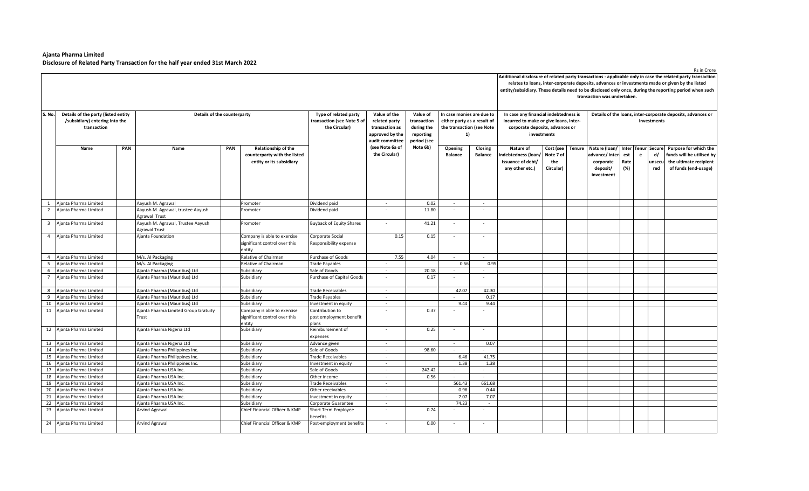$\blacksquare$ 

|                         |                                                                                      |     |                                                           |     |                                                                                 |                                                                      |                                                                                       |                                                                   |                                                                                             |                           |                                                                                                                    |                                            | Additional disclosure of related party transactions - applicable only in case the related party transaction<br>relates to loans, inter-corporate deposits, advances or investments made or given by the listed<br>entity/subsidiary. These details need to be disclosed only once, during the reporting period when such<br>transaction was undertaken. |                                                                            |                                   |   |                                      |                                                                                                      |  |  |  |  |  |  |
|-------------------------|--------------------------------------------------------------------------------------|-----|-----------------------------------------------------------|-----|---------------------------------------------------------------------------------|----------------------------------------------------------------------|---------------------------------------------------------------------------------------|-------------------------------------------------------------------|---------------------------------------------------------------------------------------------|---------------------------|--------------------------------------------------------------------------------------------------------------------|--------------------------------------------|---------------------------------------------------------------------------------------------------------------------------------------------------------------------------------------------------------------------------------------------------------------------------------------------------------------------------------------------------------|----------------------------------------------------------------------------|-----------------------------------|---|--------------------------------------|------------------------------------------------------------------------------------------------------|--|--|--|--|--|--|
| S. No.                  | Details of the party (listed entity<br>/subsidiary) entering into the<br>transaction |     | Details of the counterparty                               |     |                                                                                 | Type of related party<br>transaction (see Note 5 of<br>the Circular) | Value of the<br>related party<br>transaction as<br>approved by the<br>audit committee | Value of<br>transaction<br>during the<br>reporting<br>period (see | In case monies are due to<br>either party as a result of<br>the transaction (see Note<br>1) |                           | In case any financial indebtedness is<br>incurred to make or give loans, inter-<br>corporate deposits, advances or | investments                                |                                                                                                                                                                                                                                                                                                                                                         | Details of the loans, inter-corporate deposits, advances or<br>investments |                                   |   |                                      |                                                                                                      |  |  |  |  |  |  |
|                         | Name                                                                                 | PAN | Name                                                      | PAN | Relationship of the<br>counterparty with the listed<br>entity or its subsidiary |                                                                      | (see Note 6a of<br>the Circular)                                                      | Note 6b)                                                          | Opening<br><b>Balance</b>                                                                   | Closing<br><b>Balance</b> | Nature of<br>ndebtedness (loan/<br>issuance of debt/<br>any other etc.)                                            | Cost (see<br>Note 7 of<br>the<br>Circular) | <b>Tenure</b>                                                                                                                                                                                                                                                                                                                                           | Nature (loan/<br>advance/ inter-<br>corporate<br>deposit/<br>investment    | Inter Tenur<br>est<br>Rate<br>(%) | e | <b>Secure</b><br>d/<br>unsecu<br>red | Purpose for which the<br>funds will be utilised by<br>the ultimate recipient<br>of funds (end-usage) |  |  |  |  |  |  |
| 1                       | Ajanta Pharma Limited                                                                |     | Aayush M. Agrawal                                         |     | Promoter                                                                        | Dividend paid                                                        | $\sim$                                                                                | 0.02                                                              | $\sim$                                                                                      | $\sim$                    |                                                                                                                    |                                            |                                                                                                                                                                                                                                                                                                                                                         |                                                                            |                                   |   |                                      |                                                                                                      |  |  |  |  |  |  |
| $\overline{2}$          | Ajanta Pharma Limited                                                                |     | Aayush M. Agrawal, trustee Aayush<br>Agrawal Trust        |     | Promoter                                                                        | Dividend paid                                                        |                                                                                       | 11.80                                                             |                                                                                             | $\sim$                    |                                                                                                                    |                                            |                                                                                                                                                                                                                                                                                                                                                         |                                                                            |                                   |   |                                      |                                                                                                      |  |  |  |  |  |  |
| $\overline{\mathbf{3}}$ | Ajanta Pharma Limited                                                                |     | Aayush M. Agrawal, Trustee Aayush<br><b>Agrawal Trust</b> |     | Promoter                                                                        | <b>Buyback of Equity Shares</b>                                      | $\sim$                                                                                | 41.21                                                             | $\sim$                                                                                      | $\sim$                    |                                                                                                                    |                                            |                                                                                                                                                                                                                                                                                                                                                         |                                                                            |                                   |   |                                      |                                                                                                      |  |  |  |  |  |  |
| $\overline{4}$          | Ajanta Pharma Limited                                                                |     | Ajanta Foundation                                         |     | Company is able to exercise<br>significant control over this<br>entity          | Corporate Social<br>Responsibility expense                           | 0.15                                                                                  | 0.15                                                              | $\sim$                                                                                      | $\sim$                    |                                                                                                                    |                                            |                                                                                                                                                                                                                                                                                                                                                         |                                                                            |                                   |   |                                      |                                                                                                      |  |  |  |  |  |  |
|                         | 4 Ajanta Pharma Limited                                                              |     | M/s. AI Packaging                                         |     | Relative of Chairman                                                            | Purchase of Goods                                                    | 7.55                                                                                  | 4.04                                                              | $\sim$                                                                                      | $\sim$                    |                                                                                                                    |                                            |                                                                                                                                                                                                                                                                                                                                                         |                                                                            |                                   |   |                                      |                                                                                                      |  |  |  |  |  |  |
|                         | 5 Ajanta Pharma Limited                                                              |     | M/s. AI Packaging                                         |     | Relative of Chairman                                                            | Trade Payables                                                       | $\sim$                                                                                |                                                                   | 0.56                                                                                        | 0.95                      |                                                                                                                    |                                            |                                                                                                                                                                                                                                                                                                                                                         |                                                                            |                                   |   |                                      |                                                                                                      |  |  |  |  |  |  |
|                         | 6 Ajanta Pharma Limited                                                              |     | Ajanta Pharma (Mauritius) Ltd                             |     | Subsidiary                                                                      | Sale of Goods                                                        |                                                                                       | 20.18                                                             |                                                                                             |                           |                                                                                                                    |                                            |                                                                                                                                                                                                                                                                                                                                                         |                                                                            |                                   |   |                                      |                                                                                                      |  |  |  |  |  |  |
| $\overline{7}$          | Ajanta Pharma Limited                                                                |     | Ajanta Pharma (Mauritius) Ltd                             |     | Subsidiary                                                                      | Purchase of Capital Goods                                            |                                                                                       | 0.17                                                              |                                                                                             |                           |                                                                                                                    |                                            |                                                                                                                                                                                                                                                                                                                                                         |                                                                            |                                   |   |                                      |                                                                                                      |  |  |  |  |  |  |
|                         | 8 Ajanta Pharma Limited                                                              |     | Ajanta Pharma (Mauritius) Ltd                             |     | Subsidiary                                                                      | Trade Receivables                                                    | $\sim$                                                                                |                                                                   | 42.07                                                                                       | 42.30                     |                                                                                                                    |                                            |                                                                                                                                                                                                                                                                                                                                                         |                                                                            |                                   |   |                                      |                                                                                                      |  |  |  |  |  |  |
| 9                       | Ajanta Pharma Limited                                                                |     | Ajanta Pharma (Mauritius) Ltd                             |     | Subsidiary                                                                      | Trade Payables                                                       | $\sim$                                                                                |                                                                   |                                                                                             | 0.17                      |                                                                                                                    |                                            |                                                                                                                                                                                                                                                                                                                                                         |                                                                            |                                   |   |                                      |                                                                                                      |  |  |  |  |  |  |
|                         | 10 Ajanta Pharma Limited                                                             |     | Ajanta Pharma (Mauritius) Ltd                             |     | Subsidiary                                                                      | nvestment in equity                                                  |                                                                                       |                                                                   | 9.44                                                                                        | 9.44                      |                                                                                                                    |                                            |                                                                                                                                                                                                                                                                                                                                                         |                                                                            |                                   |   |                                      |                                                                                                      |  |  |  |  |  |  |
|                         | 11 Ajanta Pharma Limited                                                             |     | Ajanta Pharma Limited Group Gratuity<br>Trust             |     | Company is able to exercise<br>significant control over this<br>entity          | Contribution to<br>post employment benefit<br>plans                  |                                                                                       | 0.37                                                              |                                                                                             |                           |                                                                                                                    |                                            |                                                                                                                                                                                                                                                                                                                                                         |                                                                            |                                   |   |                                      |                                                                                                      |  |  |  |  |  |  |
|                         | 12 Ajanta Pharma Limited                                                             |     | Ajanta Pharma Nigeria Ltd                                 |     | Subsidiary                                                                      | Reimbursement of<br>expenses                                         |                                                                                       | 0.25                                                              |                                                                                             | $\sim$                    |                                                                                                                    |                                            |                                                                                                                                                                                                                                                                                                                                                         |                                                                            |                                   |   |                                      |                                                                                                      |  |  |  |  |  |  |
|                         | 13 Ajanta Pharma Limited                                                             |     | Ajanta Pharma Nigeria Ltd                                 |     | Subsidiary                                                                      | Advance given                                                        | $\sim$                                                                                |                                                                   | $\sim$                                                                                      | 0.07                      |                                                                                                                    |                                            |                                                                                                                                                                                                                                                                                                                                                         |                                                                            |                                   |   |                                      |                                                                                                      |  |  |  |  |  |  |
|                         | 14 Ajanta Pharma Limited                                                             |     | Ajanta Pharma Philippines Inc.                            |     | Subsidiary                                                                      | Sale of Goods                                                        | $\sim$                                                                                | 98.60                                                             | $\sim$                                                                                      | $\sim$                    |                                                                                                                    |                                            |                                                                                                                                                                                                                                                                                                                                                         |                                                                            |                                   |   |                                      |                                                                                                      |  |  |  |  |  |  |
|                         | 15 Ajanta Pharma Limited                                                             |     | Ajanta Pharma Philippines Inc.                            |     | Subsidiary                                                                      | Trade Receivables                                                    | $\sim$                                                                                |                                                                   | 6.46                                                                                        | 41.75                     |                                                                                                                    |                                            |                                                                                                                                                                                                                                                                                                                                                         |                                                                            |                                   |   |                                      |                                                                                                      |  |  |  |  |  |  |
|                         | 16 Ajanta Pharma Limited                                                             |     | Ajanta Pharma Philippines Inc.                            |     | Subsidiary                                                                      | Investment in equity                                                 | $\sim$                                                                                |                                                                   | 1.38                                                                                        | 1.38                      |                                                                                                                    |                                            |                                                                                                                                                                                                                                                                                                                                                         |                                                                            |                                   |   |                                      |                                                                                                      |  |  |  |  |  |  |
| 17                      | Ajanta Pharma Limited                                                                |     | Ajanta Pharma USA Inc.                                    |     | Subsidiary                                                                      | Sale of Goods                                                        | $\sim$                                                                                | 242.42                                                            |                                                                                             | $\sim$                    |                                                                                                                    |                                            |                                                                                                                                                                                                                                                                                                                                                         |                                                                            |                                   |   |                                      |                                                                                                      |  |  |  |  |  |  |
|                         | 18 Ajanta Pharma Limited                                                             |     | Aianta Pharma USA Inc                                     |     | Subsidiary                                                                      | Other income                                                         | $\sim$                                                                                | 0.56                                                              | $\sim$                                                                                      | $\sim$                    |                                                                                                                    |                                            |                                                                                                                                                                                                                                                                                                                                                         |                                                                            |                                   |   |                                      |                                                                                                      |  |  |  |  |  |  |
|                         | 19 Ajanta Pharma Limited                                                             |     | Ajanta Pharma USA Inc.                                    |     | Subsidiary                                                                      | Trade Receivables                                                    | $\sim$                                                                                |                                                                   | 561.43                                                                                      | 661.68                    |                                                                                                                    |                                            |                                                                                                                                                                                                                                                                                                                                                         |                                                                            |                                   |   |                                      |                                                                                                      |  |  |  |  |  |  |
|                         | 20 Ajanta Pharma Limited                                                             |     | Ajanta Pharma USA Inc.                                    |     | Subsidiary                                                                      | Other receivables                                                    | $\sim$                                                                                |                                                                   | 0.96                                                                                        | 0.44                      |                                                                                                                    |                                            |                                                                                                                                                                                                                                                                                                                                                         |                                                                            |                                   |   |                                      |                                                                                                      |  |  |  |  |  |  |
|                         | 21 Ajanta Pharma Limited                                                             |     | Ajanta Pharma USA Inc.                                    |     | Subsidiary                                                                      | Investment in equity                                                 | $\sim$<br>$\sim$                                                                      |                                                                   | 7.07<br>74.23                                                                               | 7.07<br>$\sim$            |                                                                                                                    |                                            |                                                                                                                                                                                                                                                                                                                                                         |                                                                            |                                   |   |                                      |                                                                                                      |  |  |  |  |  |  |
| 22                      | Ajanta Pharma Limited<br>23 Ajanta Pharma Limited                                    |     | Ajanta Pharma USA Inc.<br>Arvind Agrawal                  |     | Subsidiary<br>Chief Financial Officer & KMP                                     | Corporate Guarantee<br>Short Term Employee                           | $\sim$                                                                                | 0.74                                                              |                                                                                             | $\sim$                    |                                                                                                                    |                                            |                                                                                                                                                                                                                                                                                                                                                         |                                                                            |                                   |   |                                      |                                                                                                      |  |  |  |  |  |  |
|                         | 24 Ajanta Pharma Limited                                                             |     | <b>Arvind Agrawal</b>                                     |     | Chief Financial Officer & KMP                                                   | benefits<br>Post-employment benefits                                 | $\sim$                                                                                | 0.00                                                              | $\sim$                                                                                      | $\sim$                    |                                                                                                                    |                                            |                                                                                                                                                                                                                                                                                                                                                         |                                                                            |                                   |   |                                      |                                                                                                      |  |  |  |  |  |  |

Rs in Crore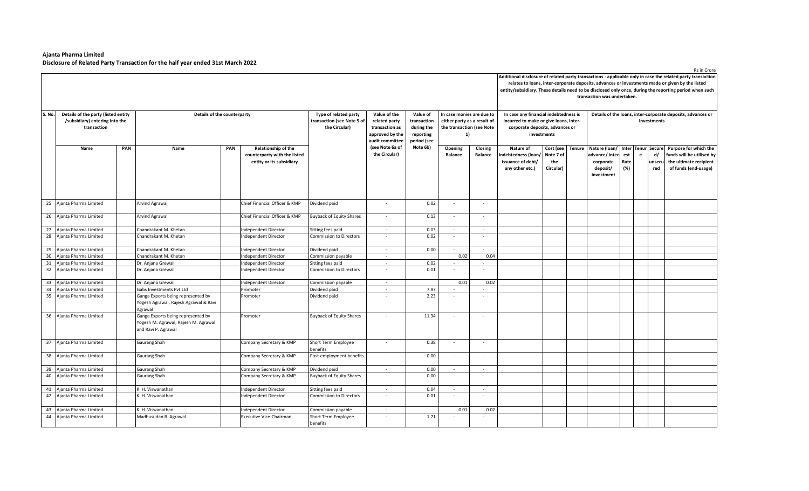$\blacksquare$ 

|        |                                                                                                                     |     |                                                                                                   |     |                                                                                 |                                                                      |                                                                                       |                                                                   |                                                                                             |                           |                                                                                                                    |                                            |        | transaction was undertaken.                                                |                                   |   |                               | Additional disclosure of related party transactions - applicable only in case the related party transaction<br>relates to loans, inter-corporate deposits, advances or investments made or given by the listed<br>entity/subsidiary. These details need to be disclosed only once, during the reporting period when such |  |  |
|--------|---------------------------------------------------------------------------------------------------------------------|-----|---------------------------------------------------------------------------------------------------|-----|---------------------------------------------------------------------------------|----------------------------------------------------------------------|---------------------------------------------------------------------------------------|-------------------------------------------------------------------|---------------------------------------------------------------------------------------------|---------------------------|--------------------------------------------------------------------------------------------------------------------|--------------------------------------------|--------|----------------------------------------------------------------------------|-----------------------------------|---|-------------------------------|--------------------------------------------------------------------------------------------------------------------------------------------------------------------------------------------------------------------------------------------------------------------------------------------------------------------------|--|--|
| S. No. | Details of the party (listed entity<br>Details of the counterparty<br>/subsidiary) entering into the<br>transaction |     |                                                                                                   |     |                                                                                 | Type of related party<br>transaction (see Note 5 of<br>the Circular) | Value of the<br>related party<br>transaction as<br>approved by the<br>audit committee | Value of<br>transaction<br>during the<br>reporting<br>period (see | In case monies are due to<br>either party as a result of<br>the transaction (see Note<br>1) |                           | In case any financial indebtedness is<br>incurred to make or give loans, inter-<br>corporate deposits, advances or | investments                                |        | Details of the loans, inter-corporate deposits, advances or<br>investments |                                   |   |                               |                                                                                                                                                                                                                                                                                                                          |  |  |
|        | Name                                                                                                                | PAN | Name                                                                                              | PAN | Relationship of the<br>counterparty with the listed<br>entity or its subsidiary |                                                                      | (see Note 6a of<br>the Circular)                                                      | Note 6b)                                                          | Opening<br><b>Balance</b>                                                                   | Closing<br><b>Balance</b> | Nature of<br>ndebtedness (loan<br>issuance of debt/<br>any other etc.)                                             | Cost (see<br>Note 7 of<br>the<br>Circular) | Tenure | Nature (loan/<br>advance/inter-<br>corporate<br>deposit/<br>investment     | Inter Tenur<br>est<br>Rate<br>(%) | e | Secure<br>d/<br>unsecu<br>red | Purpose for which the<br>funds will be utilised by<br>the ultimate recipient<br>of funds (end-usage)                                                                                                                                                                                                                     |  |  |
|        | 25 Ajanta Pharma Limited                                                                                            |     | Arvind Agrawal                                                                                    |     | Chief Financial Officer & KMP                                                   | Dividend paid                                                        | $\sim$                                                                                | 0.02                                                              |                                                                                             | $\sim$                    |                                                                                                                    |                                            |        |                                                                            |                                   |   |                               |                                                                                                                                                                                                                                                                                                                          |  |  |
|        | 26 Ajanta Pharma Limited                                                                                            |     | Arvind Agrawal                                                                                    |     | Chief Financial Officer & KMP                                                   | <b>Buyback of Equity Shares</b>                                      | $\overline{\phantom{a}}$                                                              | 0.13                                                              |                                                                                             | $\sim$                    |                                                                                                                    |                                            |        |                                                                            |                                   |   |                               |                                                                                                                                                                                                                                                                                                                          |  |  |
|        | 27 Ajanta Pharma Limited                                                                                            |     | Chandrakant M. Khetan                                                                             |     | ndependent Director                                                             | Sitting fees paid                                                    | $\overline{a}$                                                                        | 0.03                                                              | $\sim$                                                                                      | $\sim$                    |                                                                                                                    |                                            |        |                                                                            |                                   |   |                               |                                                                                                                                                                                                                                                                                                                          |  |  |
|        | 28 Ajanta Pharma Limited                                                                                            |     | Chandrakant M. Khetan                                                                             |     | ndependent Director                                                             | <b>Commission to Directors</b>                                       |                                                                                       | 0.02                                                              |                                                                                             | $\sim$                    |                                                                                                                    |                                            |        |                                                                            |                                   |   |                               |                                                                                                                                                                                                                                                                                                                          |  |  |
|        | 29 Ajanta Pharma Limited                                                                                            |     | Chandrakant M. Khetan                                                                             |     | ndependent Director                                                             | Dividend paid                                                        | $\sim$                                                                                | 0.00                                                              | $\sim$                                                                                      | $\sim$                    |                                                                                                                    |                                            |        |                                                                            |                                   |   |                               |                                                                                                                                                                                                                                                                                                                          |  |  |
| 30     | Ajanta Pharma Limited                                                                                               |     | Chandrakant M. Khetan                                                                             |     | ndependent Director                                                             | Commission payable                                                   | $\sim$                                                                                |                                                                   | 0.02                                                                                        | 0.04                      |                                                                                                                    |                                            |        |                                                                            |                                   |   |                               |                                                                                                                                                                                                                                                                                                                          |  |  |
|        | 31 Ajanta Pharma Limited                                                                                            |     | Dr. Anjana Grewal                                                                                 |     | ndependent Director                                                             | Sitting fees paid                                                    | $\sim$                                                                                | 0.02                                                              |                                                                                             |                           |                                                                                                                    |                                            |        |                                                                            |                                   |   |                               |                                                                                                                                                                                                                                                                                                                          |  |  |
|        | 32 Ajanta Pharma Limited                                                                                            |     | Dr. Anjana Grewal                                                                                 |     | ndependent Director                                                             | <b>Commission to Directors</b>                                       | $\sim$                                                                                | 0.01                                                              |                                                                                             | $\sim$                    |                                                                                                                    |                                            |        |                                                                            |                                   |   |                               |                                                                                                                                                                                                                                                                                                                          |  |  |
|        | 33 Ajanta Pharma Limited                                                                                            |     | Dr. Anjana Grewal                                                                                 |     | Independent Director                                                            | Commission payable                                                   | $\sim$                                                                                |                                                                   | 0.01                                                                                        | 0.02                      |                                                                                                                    |                                            |        |                                                                            |                                   |   |                               |                                                                                                                                                                                                                                                                                                                          |  |  |
|        | 34 Ajanta Pharma Limited                                                                                            |     | Gabs Investments Pvt Ltd                                                                          |     | Promoter                                                                        | Dividend paid                                                        | $\sim$                                                                                | 7.97                                                              | $\sim$                                                                                      | $\sim$                    |                                                                                                                    |                                            |        |                                                                            |                                   |   |                               |                                                                                                                                                                                                                                                                                                                          |  |  |
|        | 35 Ajanta Pharma Limited                                                                                            |     | Ganga Exports being represented by<br>Yogesh Agrawal, Rajesh Agrawal & Ravi<br>Agrawal            |     | Promoter                                                                        | Dividend paid                                                        |                                                                                       | 2.23                                                              |                                                                                             | $\sim$                    |                                                                                                                    |                                            |        |                                                                            |                                   |   |                               |                                                                                                                                                                                                                                                                                                                          |  |  |
|        | 36 Ajanta Pharma Limited                                                                                            |     | Ganga Exports being represented by<br>Yogesh M. Agrawal, Rajesh M. Agrawal<br>and Ravi P. Agrawal |     | Promoter                                                                        | <b>Buyback of Equity Shares</b>                                      |                                                                                       | 11.34                                                             |                                                                                             | $\sim$                    |                                                                                                                    |                                            |        |                                                                            |                                   |   |                               |                                                                                                                                                                                                                                                                                                                          |  |  |
| 37     | Ajanta Pharma Limited                                                                                               |     | Gaurang Shah                                                                                      |     | Company Secretary & KMP                                                         | Short Term Employee<br>benefits                                      | $\sim$                                                                                | 0.38                                                              |                                                                                             | $\sim$                    |                                                                                                                    |                                            |        |                                                                            |                                   |   |                               |                                                                                                                                                                                                                                                                                                                          |  |  |
| 38     | Ajanta Pharma Limited                                                                                               |     | Gaurang Shah                                                                                      |     | Company Secretary & KMP                                                         | Post-employment benefits                                             | $\sim$                                                                                | 0.00                                                              | $\sim$                                                                                      | $\sim$                    |                                                                                                                    |                                            |        |                                                                            |                                   |   |                               |                                                                                                                                                                                                                                                                                                                          |  |  |
| 39     | Ajanta Pharma Limited                                                                                               |     | Gaurang Shah                                                                                      |     | Company Secretary & KMP                                                         | Dividend paid                                                        | $\sim$                                                                                | 0.00                                                              | $\sim$                                                                                      | $\sim$                    |                                                                                                                    |                                            |        |                                                                            |                                   |   |                               |                                                                                                                                                                                                                                                                                                                          |  |  |
|        | 40 Ajanta Pharma Limited                                                                                            |     | Gaurang Shah                                                                                      |     | Company Secretary & KMP                                                         | <b>Buyback of Equity Shares</b>                                      | $\sim$                                                                                | 0.00                                                              |                                                                                             | $\sim$                    |                                                                                                                    |                                            |        |                                                                            |                                   |   |                               |                                                                                                                                                                                                                                                                                                                          |  |  |
|        | 41 Ajanta Pharma Limited                                                                                            |     | K. H. Viswanathan                                                                                 |     | ndependent Director                                                             | Sitting fees paid                                                    | $\sim$                                                                                | 0.04                                                              | $\sim$                                                                                      | $\sim$                    |                                                                                                                    |                                            |        |                                                                            |                                   |   |                               |                                                                                                                                                                                                                                                                                                                          |  |  |
|        | 42 Ajanta Pharma Limited                                                                                            |     | K. H. Viswanathan                                                                                 |     | ndependent Director                                                             | <b>Commission to Directors</b>                                       |                                                                                       | 0.01                                                              |                                                                                             | $\sim$                    |                                                                                                                    |                                            |        |                                                                            |                                   |   |                               |                                                                                                                                                                                                                                                                                                                          |  |  |
| 43     | Ajanta Pharma Limited                                                                                               |     | K. H. Viswanathan                                                                                 |     | ndependent Director                                                             | Commission payable                                                   | $\overline{a}$                                                                        |                                                                   | 0.01                                                                                        | 0.02                      |                                                                                                                    |                                            |        |                                                                            |                                   |   |                               |                                                                                                                                                                                                                                                                                                                          |  |  |
|        | 44 Ajanta Pharma Limited                                                                                            |     | Madhusudan B. Agrawal                                                                             |     | Executive Vice-Chairman                                                         | Short Term Employee<br>benefits                                      |                                                                                       | 1.71                                                              |                                                                                             |                           |                                                                                                                    |                                            |        |                                                                            |                                   |   |                               |                                                                                                                                                                                                                                                                                                                          |  |  |

Rs in Crore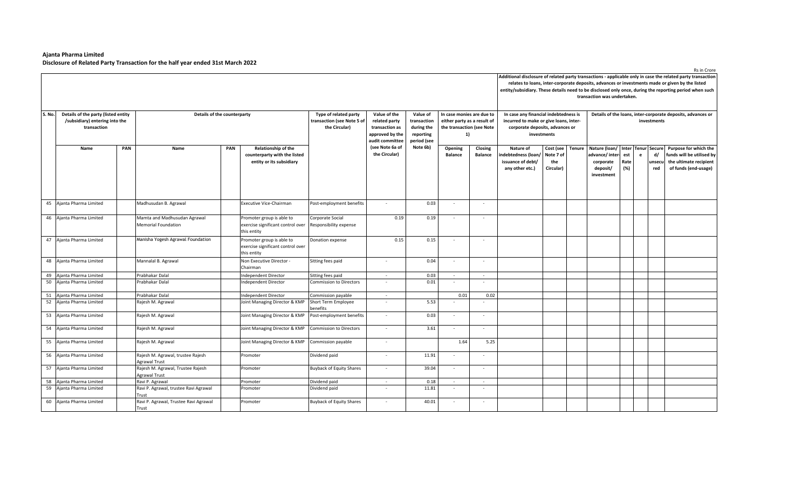$\overline{a}$ 

|        |                                     |     |                                                |     |                                   |                                 |                                    |                          |                             |                |                                        |           |               | transaction was undertaken. |             |   |               | Additional disclosure of related party transactions - applicable only in case the related party transaction<br>relates to loans, inter-corporate deposits, advances or investments made or given by the listed<br>entity/subsidiary. These details need to be disclosed only once, during the reporting period when such |  |
|--------|-------------------------------------|-----|------------------------------------------------|-----|-----------------------------------|---------------------------------|------------------------------------|--------------------------|-----------------------------|----------------|----------------------------------------|-----------|---------------|-----------------------------|-------------|---|---------------|--------------------------------------------------------------------------------------------------------------------------------------------------------------------------------------------------------------------------------------------------------------------------------------------------------------------------|--|
| S. No. | Details of the party (listed entity |     | Details of the counterparty                    |     |                                   | Type of related party           | Value of the                       | Value of                 | In case monies are due to   |                | In case any financial indebtedness is  |           |               |                             |             |   |               | Details of the loans, inter-corporate deposits, advances or                                                                                                                                                                                                                                                              |  |
|        | /subsidiary) entering into the      |     |                                                |     |                                   | transaction (see Note 5 of      | related party                      | transaction              | either party as a result of |                | incurred to make or give loans, inter- |           | investments   |                             |             |   |               |                                                                                                                                                                                                                                                                                                                          |  |
|        | transaction                         |     |                                                |     |                                   | the Circular)                   | transaction as                     | during the               | the transaction (see Note   |                | corporate deposits, advances or        |           |               |                             |             |   |               |                                                                                                                                                                                                                                                                                                                          |  |
|        |                                     |     |                                                |     |                                   |                                 | approved by the<br>audit committee | reporting<br>period (see | 1)                          |                | investments                            |           |               |                             |             |   |               |                                                                                                                                                                                                                                                                                                                          |  |
|        | Name                                | PAN | Name                                           | PAN | <b>Relationship of the</b>        |                                 | (see Note 6a of                    | Note 6b)                 | Opening                     | Closing        | Nature of                              | Cost (see | <b>Tenure</b> | Nature (loan/               | Inter Tenur |   | <b>Secure</b> | Purpose for which the                                                                                                                                                                                                                                                                                                    |  |
|        |                                     |     |                                                |     | counterparty with the listed      |                                 | the Circular)                      |                          | <b>Balance</b>              | <b>Balance</b> | indebtedness (loan,                    | Note 7 of |               | advance/inter-              | est         | e | d/            | funds will be utilised by                                                                                                                                                                                                                                                                                                |  |
|        |                                     |     |                                                |     | entity or its subsidiary          |                                 |                                    |                          |                             |                | issuance of debt/                      | the       |               | corporate                   | Rate        |   | unsecu        | the ultimate recipient                                                                                                                                                                                                                                                                                                   |  |
|        |                                     |     |                                                |     |                                   |                                 |                                    |                          |                             |                | any other etc.)                        | Circular) |               | deposit/                    | (%)         |   | red           | of funds (end-usage)                                                                                                                                                                                                                                                                                                     |  |
|        |                                     |     |                                                |     |                                   |                                 |                                    |                          |                             |                |                                        |           |               | investment                  |             |   |               |                                                                                                                                                                                                                                                                                                                          |  |
|        |                                     |     |                                                |     |                                   |                                 |                                    |                          |                             |                |                                        |           |               |                             |             |   |               |                                                                                                                                                                                                                                                                                                                          |  |
|        | 45 Ajanta Pharma Limited            |     | Madhusudan B. Agrawal                          |     | Executive Vice-Chairman           | Post-employment benefits        | $\sim$                             | 0.03                     | $\sim$                      | $\sim$         |                                        |           |               |                             |             |   |               |                                                                                                                                                                                                                                                                                                                          |  |
|        | 46 Ajanta Pharma Limited            |     | Mamta and Madhusudan Agrawal                   |     | Promoter group is able to         | Corporate Social                | 0.19                               | 0.19                     |                             |                |                                        |           |               |                             |             |   |               |                                                                                                                                                                                                                                                                                                                          |  |
|        |                                     |     | <b>Memorial Foundation</b>                     |     | exercise significant control over | Responsibility expense          |                                    |                          |                             |                |                                        |           |               |                             |             |   |               |                                                                                                                                                                                                                                                                                                                          |  |
|        |                                     |     |                                                |     | this entity                       |                                 |                                    |                          |                             |                |                                        |           |               |                             |             |   |               |                                                                                                                                                                                                                                                                                                                          |  |
|        | 47 Ajanta Pharma Limited            |     | Manisha Yogesh Agrawal Foundation              |     | Promoter group is able to         | Donation expense                | 0.15                               | 0.15                     |                             | $\sim$         |                                        |           |               |                             |             |   |               |                                                                                                                                                                                                                                                                                                                          |  |
|        |                                     |     |                                                |     | exercise significant control over |                                 |                                    |                          |                             |                |                                        |           |               |                             |             |   |               |                                                                                                                                                                                                                                                                                                                          |  |
|        |                                     |     |                                                |     | this entity                       |                                 |                                    |                          |                             |                |                                        |           |               |                             |             |   |               |                                                                                                                                                                                                                                                                                                                          |  |
|        | 48 Ajanta Pharma Limited            |     | Mannalal B. Agrawal                            |     | Non Executive Director -          | Sitting fees paid               | $\sim$                             | 0.04                     | $\sim$                      | $\sim$         |                                        |           |               |                             |             |   |               |                                                                                                                                                                                                                                                                                                                          |  |
|        |                                     |     |                                                |     | Chairman                          |                                 |                                    |                          |                             |                |                                        |           |               |                             |             |   |               |                                                                                                                                                                                                                                                                                                                          |  |
|        | 49 Ajanta Pharma Limited            |     | Prabhakar Dalal                                |     | ndependent Director               | Sitting fees paid               | $\sim$                             | 0.03                     | $\sim$                      | $\sim$         |                                        |           |               |                             |             |   |               |                                                                                                                                                                                                                                                                                                                          |  |
| 50     | Aianta Pharma Limited               |     | Prabhakar Dalal                                |     | ndependent Director               | <b>Commission to Directors</b>  | $\sim$                             | 0.01                     |                             | $\sim$         |                                        |           |               |                             |             |   |               |                                                                                                                                                                                                                                                                                                                          |  |
|        | 51 Ajanta Pharma Limited            |     | Prabhakar Dalal                                |     | ndependent Director               | Commission payable              | $\sim$                             |                          | 0.01                        | 0.02           |                                        |           |               |                             |             |   |               |                                                                                                                                                                                                                                                                                                                          |  |
|        | 52 Ajanta Pharma Limited            |     | Rajesh M. Agrawal                              |     | oint Managing Director & KMP      | Short Term Employee             |                                    | 5.53                     |                             |                |                                        |           |               |                             |             |   |               |                                                                                                                                                                                                                                                                                                                          |  |
|        |                                     |     |                                                |     |                                   | benefits                        |                                    |                          |                             |                |                                        |           |               |                             |             |   |               |                                                                                                                                                                                                                                                                                                                          |  |
|        | 53 Ajanta Pharma Limited            |     | Rajesh M. Agrawal                              |     | Joint Managing Director & KMP     | Post-employment benefits        | $\sim$                             | 0.03                     | $\sim$                      | $\sim$         |                                        |           |               |                             |             |   |               |                                                                                                                                                                                                                                                                                                                          |  |
|        | 54 Ajanta Pharma Limited            |     | Rajesh M. Agrawal                              |     | Joint Managing Director & KMP     | Commission to Directors         | $\sim$                             | 3.61                     | $\sim$                      | $\sim$         |                                        |           |               |                             |             |   |               |                                                                                                                                                                                                                                                                                                                          |  |
|        |                                     |     |                                                |     |                                   |                                 |                                    |                          |                             |                |                                        |           |               |                             |             |   |               |                                                                                                                                                                                                                                                                                                                          |  |
|        | 55 Ajanta Pharma Limited            |     | Rajesh M. Agrawal                              |     | Joint Managing Director & KMP     | Commission payable              | $\sim$                             |                          | 1.64                        | 5.25           |                                        |           |               |                             |             |   |               |                                                                                                                                                                                                                                                                                                                          |  |
|        |                                     |     |                                                |     |                                   |                                 |                                    |                          |                             |                |                                        |           |               |                             |             |   |               |                                                                                                                                                                                                                                                                                                                          |  |
|        | 56 Ajanta Pharma Limited            |     | Rajesh M. Agrawal, trustee Rajesh              |     | Promoter                          | Dividend paid                   | $\sim$                             | 11.91                    |                             | $\sim$         |                                        |           |               |                             |             |   |               |                                                                                                                                                                                                                                                                                                                          |  |
|        |                                     |     | Agrawal Trust                                  |     |                                   |                                 |                                    |                          |                             |                |                                        |           |               |                             |             |   |               |                                                                                                                                                                                                                                                                                                                          |  |
|        | 57 Ajanta Pharma Limited            |     | Rajesh M. Agrawal, Trustee Rajesh              |     | Promoter                          | <b>Buyback of Equity Shares</b> | $\sim$                             | 39.04                    |                             | $\sim$         |                                        |           |               |                             |             |   |               |                                                                                                                                                                                                                                                                                                                          |  |
|        | 58 Ajanta Pharma Limited            |     | Agrawal Trust<br>Ravi P. Agrawal               |     | Promoter                          | Dividend paid                   |                                    | 0.18                     | $\sim$                      | $\sim$         |                                        |           |               |                             |             |   |               |                                                                                                                                                                                                                                                                                                                          |  |
| 59     | Ajanta Pharma Limited               |     | Ravi P. Agrawal, trustee Ravi Agrawal          |     | Promoter                          | Dividend paid                   | $\sim$                             | 11.81                    | $\sim$                      | $\sim$         |                                        |           |               |                             |             |   |               |                                                                                                                                                                                                                                                                                                                          |  |
|        |                                     |     | Trust                                          |     |                                   |                                 |                                    |                          |                             |                |                                        |           |               |                             |             |   |               |                                                                                                                                                                                                                                                                                                                          |  |
|        | 60 Ajanta Pharma Limited            |     | Ravi P. Agrawal, Trustee Ravi Agrawal<br>Trust |     | Promoter                          | <b>Buyback of Equity Shares</b> |                                    | 40.01                    |                             |                |                                        |           |               |                             |             |   |               |                                                                                                                                                                                                                                                                                                                          |  |

Rs in Crore